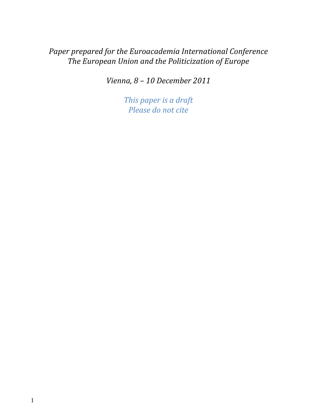# *Paper prepared for the Euroacademia International Conference The European Union and the Politicization of Europe*

*Vienna, 8 – 10 December 2011*

*This paper is a draft Please do not cite*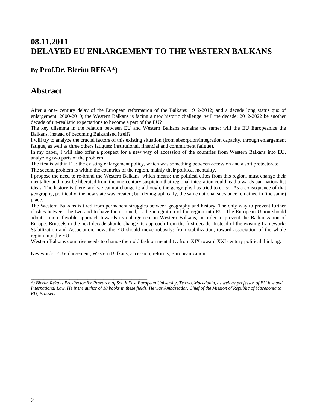## **08.11.2011 DELAYED EU ENLARGEMENT TO THE WESTERN BALKANS**

#### **By Prof.Dr. Blerim REKA\*)**

#### **Abstract**

After a one- century delay of the European reformation of the Balkans: 1912-2012; and a decade long status quo of enlargement: 2000-2010; the Western Balkans is facing a new historic challenge: will the decade: 2012-2022 be another decade of un-realistic expectations to become a part of the EU?

The key dilemma in the relation between EU and Western Balkans remains the same: will the EU Europeanize the Balkans, instead of becoming Balkanized itself?

I will try to analyze the crucial factors of this existing situation (from absorption/integration capacity, through enlargement fatigue, as well as three others fatigues: institutional, financial and commitment fatigue).

In my paper, I will also offer a prospect for a new way of accession of the countries from Western Balkans into EU, analyzing two parts of the problem.

The first is within EU: the existing enlargement policy, which was something between accession and a soft protectorate.

The second problem is within the countries of the region, mainly their political mentality.

I propose the need to re-brand the Western Balkans, which means: the political elites from this region, must change their mentality and must be liberated from the one-century suspicion that regional integration could lead towards pan-nationalist ideas. The history is there, and we cannot change it; although, the geography has tried to do so. As a consequence of that geography, politically, the new state was created; but demographically, the same national substance remained in (the same) place.

The Western Balkans is tired from permanent struggles between geography and history. The only way to prevent further clashes between the two and to have them joined, is the integration of the region into EU. The European Union should adopt a more flexible approach towards its enlargement in Western Balkans, in order to prevent the Balkanization of Europe. Brussels in the next decade should change its approach from the first decade. Instead of the existing framework: Stabilization and Association, now, the EU should move robustly: from stabilization, toward association of the whole region into the EU.

Western Balkans countries needs to change their old fashion mentality: from XIX toward XXI century political thinking.

Key words: EU enlargement, Western Balkans, accession, reforms, Europeanization,

\_\_\_\_\_\_\_\_\_\_\_\_\_\_\_\_\_\_\_\_\_\_\_\_\_\_\_\_\_\_\_\_\_\_\_\_\_\_\_\_\_\_\_\_\_

*<sup>\*)</sup> Blerim Reka is Pro-Rector for Research of South East European University, Tetovo, Macedonia, as well as professor of EU law and International Law. He is the author of 18 books in these fields. He was Ambassador, Chief of the Mission of Republic of Macedonia to EU, Brussels.*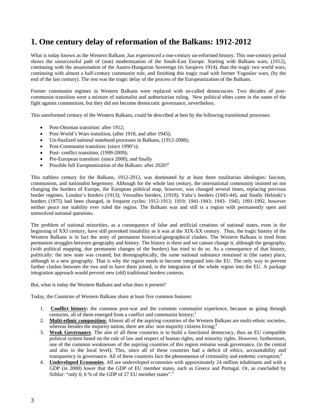# **1. One century delay of reformation of the Balkans: 1912-2012**

What is today known as the Western Balkans ,has experienced a one-century un-reformed history. This one-century period shows the unsuccessful path of (non) modernization of the South-East Europe. Starting with Balkans wars, (1912), continuing with the assassination of the Austro-Hungarian Sovereign (in Sarajevo 1914), than the tragic two world wars, continuing with almost a half-century communist rule, and finishing this tragic road with former Yugoslav wars, (by the end of the last century). The rest was the tragic delay of the process of the Europeanization of the Balkans.

Former communist regimes in Western Balkans were replaced with so-called democracies. Two decades of postcommunist transition were a mixture of nationalist and authoritarian ruling. New political elites came in the name of the fight against communism, but they did not become democratic governance, nevertheless.

This unreformed century of the Western Balkans, could be described at best by the following transitional processes:

- Post-Ottoman transition: after 1912;
- Post-World's Wars transition, (after 1918, and after 1945);
- Un-finalized national statehood processes in Balkans, (1912-2008);
- Post-Communist transition: (since 1990's);
- Post- conflict transition, (1999-2009);
- Pre-European transition: (since 2000), and finally
- Possible full Europeanization of the Balkans: after  $2020$ ?

This ruthless century for the Balkans, 1912-2012, was dominated by at least three totalitarian ideologies: fascism, communism, and nationalist hegemony. Although for the whole last century, the international community insisted on not changing the borders of Europe, the European political map, however, was changed several times, replacing previous border regimes. London's borders (1913); Versailles borders, (1919); Yalta's borders (1943-44); and finally Helsinki's borders (1975) had been changed, in frequent cycles: 1912-1913; 1919; 1941-1943; 1943- 1945; 1991-1992, however neither peace nor stability ever ruled the region. The Balkans was and still is a region with permanently open and unresolved national questions.

The problem of national minorities, as a consequence of false and artificial creations of national states, even in the beginning of XXI century, have still provoked instability as it was at the XIX-XX century. Thus, the tragic history of the Western Balkans is in fact the story of permanent historical-geographical clashes. The Western Balkans is tired from permanent struggles between geography and history. The history is there and we cannot change it, although the geography, (with political mapping, due permanent changes of the borders) has tried to do so. As a consequence of that history, politically: the new state was created; but demographically, the same national substance remained in (the same) place, although in a new geography. That is why the region needs to become integrated into the EU. The only way to prevent further clashes between the two and to have them joined, is the integration of the whole region into the EU. A package integration approach would prevent new (old) traditional borders contests.

But, what is today the Western Balkans and what does it present?

Today, the Countries of Western Balkans share at least five common features:

- 1. **Conflict history:** the common post-war and the common communist experience, because as going through centuries, all of them emerged from a conflict and communist history;<sup>2</sup>
- 2. **Multi-ethnic composition:** Almost all of the aspiring countries of the Western Balkans are multi-ethnic societies, whereas besides the majority nation, there are also non-majority citizens living; $3$
- 3. **Weak Governance**. The aim of all these countries is to build a functional democracy, thus an EU compatible political system based on the rule of law and respect of human rights, and minority rights. However, furthermore, one of the common weaknesses of the aspiring countries of this region remains weak governance, (in the central and also in the local level). This, since all of these countries had a deficit of ethics, accountability and transparency in governance. All of these countries face the phenomenon of criminality and endemic corruption;<sup>4</sup>
- 4. **Undeveloped Economies**. All are undeveloped economies with approximately 24 million inhabitants and with a GDP (in 2000) lower that the GDP of EU member states, such as Greece and Portugal. Or, as concluded by Stiblar: "only 0, 6 % of the GDP of 27 EU member states".<sup>5</sup>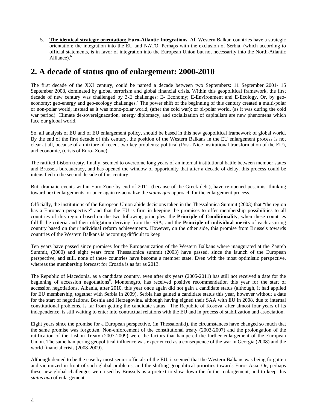5. **The identical strategic orientation: Euro-Atlantic Integrations**. All Western Balkan countries have a strategic orientation: the integration into the EU and NATO. Perhaps with the exclusion of Serbia, (which according to official statements, is in favor of integration into the European Union but not necessarily into the North-Atlantic Alliance).<sup>6</sup>

## **2. A decade of status quo of enlargement: 2000-2010**

The first decade of the XXI century, could be named a decade between two Septembers: 11 September 2001- 15 September 2008, dominated by global terrorism and global financial crisis. Within this geopolitical framework, the first decade of new century was challenged by 3-E challenges: E- Economy; E-Environment and E-Ecology. Or, by geoeconomy; geo-energy and geo-ecology challenges.<sup>7</sup> The power shift of the beginning of this century created a multi-polar or non-polar world; instead as it was mono-polar world, (after the cold war); or bi-polar world, (as it was during the cold war period). Climate de-sovereignazation, energy diplomacy, and socialization of capitalism are new phenomena which face our global world.

So, all analysis of EU and of EU enlargement policy, should be based in this new geopolitical framework of global world. By the end of the first decade of this century, the position of the Western Balkans in the EU enlargement process is not clear at all, because of a mixture of recent two key problems: political (Post- Nice institutional transformation of the EU), and economic, (crisis of Euro- Zone).

The ratified Lisbon treaty, finally, seemed to overcome long years of an internal institutional battle between member states and Brussels bureaucracy, and has opened the window of opportunity that after a decade of delay, this process could be intensified in the second decade of this century.

But, dramatic events within Euro-Zone by end of 2011, (because of the Greek debt), have re-opened pessimist thinking toward next enlargements, or once again re-actualize the *status quo* approach for the enlargement process.

Officially, the institutions of the European Union abide decisions taken in the Thessalonica Summit (2003) that "the region has a European perspective" and that the EU is firm in keeping the promises to offer membership possibilities to all countries of this region based on the two following principles: the **Principle of Conditionality**, when these countries fulfill the criteria and their obligation deriving from the SSA; and the **Principle of individual merits** of each aspiring country based on their individual reform achievements. However, on the other side, this promise from Brussels towards countries of the Western Balkans is becoming difficult to keep.

Ten years have passed since promises for the Europeanization of the Western Balkans where inaugurated at the Zagreb Summit, (2000) and eight years from Thessalonica summit (2003) have passed, since the launch of the European perspective, and still, none of these countries have become a member state. Even with the most optimistic perspective, whereas the membership forecast for Croatia is as far as 2013.

The Republic of Macedonia, as a candidate country, even after six years (2005-2011) has still not received a date for the beginning of accession negotiations<sup>8</sup>. Montenegro, has received positive recommendation this year for the start of accession negotiations. Albania, after 2010, this year once again did not gain a candidate status (although, it had applied for EU membership, together with Serbia in 2009). Serbia has gained a candidate status this year, however without a date for the start of negotiations. Bosnia and Herzegovina, although having signed their SAA with EU in 2008, due to internal constitutional problems, is far from getting the candidate status. The Republic of Kosova, after almost four years of its independence, is still waiting to enter into contractual relations with the EU and in process of stabilization and association.

Eight years since the promise for a European perspective, (in Thessaloniki), the circumstances have changed so much that the same promise was forgotten. Non-enforcement of the constitutional treaty (2003-2007) and the prolongation of the ratification of the Lisbon Treaty (2007-2009) were the factors that hampered the further enlargement of the European Union. The same hampering geopolitical influence was experienced as a consequence of the war in Georgia (2008) and the world financial crisis (2008-2009).

Although denied to be the case by most senior officials of the EU, it seemed that the Western Balkans was being forgotten and victimized in front of such global problems, and the shifting geopolitical priorities towards Euro- Asia. Or, perhaps these new global challenges were used by Brussels as a pretext to slow down the further enlargement, and to keep this *status quo* of enlargement.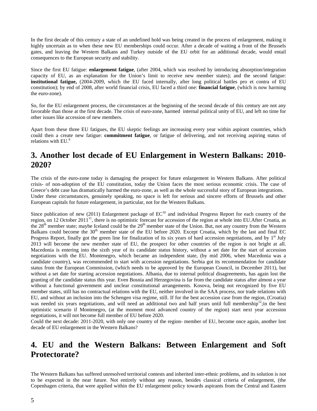In the first decade of this century a state of an undefined hold was being created in the process of enlargement, making it highly uncertain as to when these new EU memberships could occur. After a decade of waiting a front of the Brussels gates, and leaving the Western Balkans and Turkey outside of the EU orbit for an additional decade, would entail consequences to the European security and stability.

Since the first EU fatigue: **enlargement fatigue**, (after 2004, which was resolved by introducing absorption/integration capacity of EU, as an explanation for the Union's limit to receive new member states); and the second fatigue: **institutional fatigue,** (2004-2009, which the EU faced internally, after long political battles pro et contra of EU constitution); by end of 2008, after world financial crisis, EU faced a third one: **financial fatigue**, (which is now harming the euro-zone).

So, for the EU enlargement process, the circumstances at the beginning of the second decade of this century are not any favorable than those at the first decade. The crisis of euro-zone, harmed internal political unity of EU, and left no time for other issues like accession of new members.

Apart from these three EU fatigues, the EU skeptic feelings are increasing every year within aspirant countries, which could then a create new fatigue: **commitment fatigue**, or fatigue of delivering, and not receiving aspiring status of relations with EU.<sup>9</sup>

## **3. Another lost decade of EU Enlargement in Western Balkans: 2010- 2020?**

The crisis of the euro-zone today is damaging the prospect for future enlargement in Western Balkans. After political crisis- of non-adoption of the EU constitution, today the Union faces the most serious economic crisis. The case of Greece's debt case has dramatically harmed the euro-zone, as well as the whole successful story of European integrations. Under these circumstances, genuinely speaking, no space is left for serious and sincere efforts of Brussels and other European capitals for future enlargement, in particular, not for the Western Balkans.

Since publication of new (2011) Enlargement package of  $EC^{10}$  and individual Progress Report for each country of the region, on 12 October 2011<sup>11</sup>, there is no optimistic forecast for accession of the region at whole into EU.After Croatia, as the 28<sup>th</sup> member state; maybe Iceland could be the 29<sup>th</sup> member state of the Union. But, not any country from the Western Balkans could become the 30<sup>th</sup> member state of the EU before 2020. Except Croatia, which by the last and final EC Progress Report, finally got the green line for finalization of its six years of hard accession negotiations, and by  $1<sup>st</sup>$  July 2013 will become the new member state of EU, the prospect for other countries of the region is not bright at all. Macedonia is entering into the sixth year of its candidate status history, without a set date for the start of accession negotiations with the EU. Montenegro, which became an independent state, (by mid 2006, when Macedonia was a candidate country), was recommended to start with accession negotiations. Serbia got its recommendation for candidate status from the European Commission, (which needs to be approved by the European Council, in December 2011), but without a set date for starting accession negotiations. Albania, due to internal political disagreements, has again lost the granting of the candidate status this year. Even Bosnia and Herzegovina is far from the candidate status after almost a year without a functional government and unclear constitutional arrangements. Kosova, being not recognized by five EU member states, still has no contractual relations with the EU, neither involved in the SAA process, nor trade relations with EU, and without an inclusion into the Schengen visa regime, still. If for the best accession case from the region, (Croatia) was needed six years negotiations, and will need an additional two and half years until full membership<sup>12</sup>; in the best optimistic scenario if Montenegro, (at the moment most advanced country of the region) start next year accession negotiations, it will not become full member of EU before 2020.

Could the next decade: 2011-2020, with only one country of the region- member of EU, become once again, another lost decade of EU enlargement in the Western Balkans?

# **4. EU and the Western Balkans: Between Enlargement and Soft Protectorate?**

The Western Balkans has suffered unresolved territorial contests and inherited inter-ethnic problems, and its solution is not to be expected in the near future. Not entirely without any reason, besides classical criteria of enlargement, (the Copenhagen criteria, that were applied within the EU enlargement policy towards aspirants from the Central and Eastern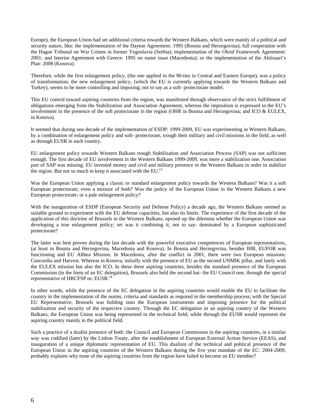Europe), the European Union had set additional criteria towards the Western Balkans, which were mainly of a political and security nature, like: the implementation of the Dayton Agreement: 1995 (Bosnia and Herzegovina); full cooperation with the Hague Tribunal on War Crimes in former Yugoslavia (Serbia); implementation of the Ohrid Framework Agreement: 2001; and Interim Agreement with Greece: 1995 on name issue (Macedonia); or the implementation of the Ahtisaari's Plan: 2008 (Kosova).

Therefore, while the first enlargement policy, (the one applied in the 90-ties in Central and Eastern Europe), was a policy of transformation; the new enlargement policy, (which the EU is currently applying towards the Western Balkans and Turkey), seems to be more controlling and imposing; not to say as a soft- protectorate model.

This EU control toward aspiring countries from the region, was manifested through observance of the strict fulfillment of obligations emerging from the Stabilization and Association Agreement, whereas the imposition is expressed in the EU's involvement in the presence of the soft protectorate in the region (OHR in Bosnia and Herzegovina; and ICO & EULEX, in Kosova).

It seemed that during one decade of the implementation of ESDP: 1999-2009, EU was experimenting in Western Balkans, by a combination of enlargement policy and soft- protectorate, trough their military and civil missions in the field, as well as through EUSR in each country.

EU enlargement policy towards Western Balkans trough Stabilization and Association Process (SAP) was not sufficient enough. The first decade of EU involvement in the Western Balkans 1999-2009, was more a stabilization one. Association part of SAP was missing. EU invested money and civil and military presence in the Western Balkans in order to stabilize the region. But not so much to keep it associated with the EU. $^{13}$ 

Was the European Union applying a classic or standard enlargement policy towards the Western Balkans? Was it a soft European protectorate; even a mixture of both? Was the policy of the European Union in the Western Balkans a new European protectorate; or a pale enlargement policy?

With the inauguration of ESDP (European Security and Defense Policy) a decade ago, the Western Balkans seemed as suitable ground to experiment with the EU defense capacities, but also its limits. The experience of the first decade of the application of this doctrine of Brussels in the Western Balkans, opened up the dilemma whether the European Union was developing a true enlargement policy; ort was it combining it, not to say- dominated by a European sophisticated protectorate?

The latter was best proven during the last decade with the powerful executive competences of European representatives, (at least in Bosnia and Herzegovina, Macedonia and Kosova). In Bosnia and Herzegovina, besides IHR, EUFOR was functioning and EU Althea Mission. In Macedonia, after the conflict in 2001, there were two European missions: Concordia and Harvest. Whereas in Kosova, initially with the presence of EU as the second UNMIK pillar, and lately with the EULEX mission but also the ICO. In these three aspiring countries, besides the standard presence of the European Commission (in the form of an EC delegation), Brussels also held the second hat- the EU Council one, through the special representative of HRCFSP or: EUSR.<sup>14</sup>

In other words, while the presence of the EC delegation in the aspiring countries would enable the EU to facilitate the country in the implementation of the norms, criteria and standards as required in the membership process; with the Special EU Representative, Brussels was holding onto the European instruments and imposing presence for the political stabilization and security of the respective country. Through the EC delegation in an aspiring country of the Western Balkans, the European Union was being represented in the technical field; while through the EUSR would represent the aspiring country mainly in the political field.

Such a practice of a dualist presence of both: the Council and European Commission in the aspiring countries, in a similar way was codified (later) by the Lisbon Treaty, after the establishment of European External Action Service (EEAS), and inauguration of a unique diplomatic representation of EU. This dualism of the technical and political presence of the European Union in the aspiring countries of the Western Balkans during the five year mandate of the EC: 2004-2009, probably explains why none of the aspiring countries from the region have failed to become an EU member?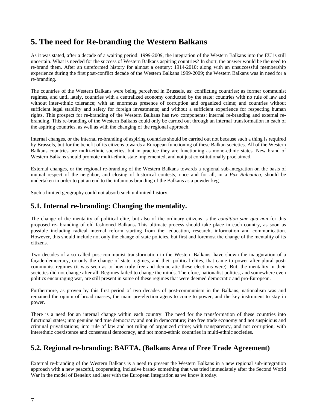## **5. The need for Re-branding the Western Balkans**

As it was stated, after a decade of a waiting period: 1999-2009, the integration of the Western Balkans into the EU is still uncertain. What is needed for the success of Western Balkans aspiring countries? In short, the answer would be the need to re-brand them. After an unreformed history for almost a century: 1914-2010; along with an unsuccessful membership experience during the first post-conflict decade of the Western Balkans 1999-2009; the Western Balkans was in need for a re-branding.

The countries of the Western Balkans were being perceived in Brussels, as: conflicting countries; as former communist regimes, and until lately, countries with a centralized economy conducted by the state; countries with no rule of law and without inter-ethnic tolerance; with an enormous presence of corruption and organized crime; and countries without sufficient legal stability and safety for foreign investments; and without a sufficient experience for respecting human rights. This prospect for re-branding of the Western Balkans has two components: internal re-branding and external rebranding. This re-branding of the Western Balkans could only be carried out through an internal transformation in each of the aspiring countries, as well as with the changing of the regional approach.

Internal changes, or the internal re-branding of aspiring countries should be carried out not because such a thing is required by Brussels, but for the benefit of its citizens towards a European functioning of these Balkan societies. All of the Western Balkans countries are multi-ethnic societies, but in practice they are functioning as mono-ethnic states. New brand of Western Balkans should promote multi-ethnic state implemented, and not just constitutionally proclaimed.

External changes, or the regional re-branding of the Western Balkans towards a regional sub-integration on the basis of mutual respect of the neighbor, and closing of historical contests, once and for all, in a *Pax Balcanica*, should be undertaken in order to put an end to the infamous branding of the Balkans as a powder keg.

Such a limited geography could not absorb such unlimited history.

#### **5.1. Internal re-branding: Changing the mentality.**

The change of the mentality of political elite, but also of the ordinary citizens is the *condition sine qua non* for this proposed re- branding of old fashioned Balkans**.** This ultimate process should take place in each country, as soon as possible including radical internal reform starting from the: education, research, information and communication. However, this should include not only the change of state policies, but first and foremost the change of the mentality of its citizens.

Two decades of a so called post-communist transformation in the Western Balkans, have shown the inauguration of a façade-democracy, or only the change of state regimes, and their political elites, that came to power after plural postcommunist regimes (it was seen as to how truly free and democratic these elections were). But, the mentality in their societies did not change after all. Regimes failed to change the minds. Therefore, nationalist politics, and somewhere even politics encouraging war, are still present in some of these regimes that were deemed democratic and pro-European.

Furthermore, as proven by this first period of two decades of post-communism in the Balkans, nationalism was and remained the opium of broad masses, the main pre-election agens to come to power, and the key instrument to stay in power.

There is a need for an internal change within each country. The need for the transformation of these countries into functional states; into genuine and true democracy and not in democrature; into free trade economy and not suspicious and criminal privatizations; into rule of law and not ruling of organized crime; with transparency, and not corruption; with interethnic coexistence and consensual democracy, and not mono-ethnic countries in multi-ethnic societies.

### **5.2. Regional re-branding: BAFTA, (Balkans Area of Free Trade Agreement)**

External re-branding of the Western Balkans is a need to present the Western Balkans in a new regional sub-integration approach with a new peaceful, cooperating, inclusive brand- something that was tried immediately after the Second World War in the model of Benelux and later with the European Integration as we know it today.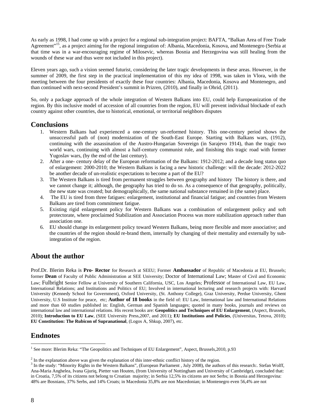As early as 1998, I had come up with a project for a regional sub-integration project: BAFTA, "Balkan Area of Free Trade Agreement"<sup>15</sup>, as a project aiming for the regional integration of: Albania, Macedonia, Kosova, and Montenegro (Serbia at that time was in a war-encouraging regime of Milosevic, whereas Bosnia and Herzegovina was still healing from the wounds of these war and thus were not included in this project).

Eleven years ago, such a vision seemed futurist, considering the later tragic developments in these areas. However, in the summer of 2009, the first step in the practical implementation of this my idea of 1998, was taken in Vlora, with the meeting between the four presidents of exactly these four countries: Albania, Macedonia, Kosova and Montenegro, and than continued with next-second President's summit in Prizren, (2010), and finally in Ohrid, (2011).

So, only a package approach of the whole integration of Western Balkans into EU, could help Europeanization of the region. By this inclusive model of accession of all countries from the region, EU will prevent individual blockade of each country against other countries, due to historical, emotional, or territorial neighbors disputes

- **Conclusions**<br>1. Western Balkans had experienced a one-century un-reformed history. This one-century period shows the unsuccessful path of (non) modernization of the South-East Europe. Starting with Balkans wars, (1912), continuing with the assassination of the Austro-Hungarian Sovereign (in Sarajevo 1914), than the tragic two world wars, continuing with almost a half-century communist rule, and finishing this tragic road with former Yugoslav wars, (by the end of the last century).
	- 2. After a one- century delay of the European reformation of the Balkans: 1912-2012; and a decade long status quo of enlargement: 2000-2010; the Western Balkans is facing a new historic challenge: will the decade: 2012-2022 be another decade of un-realistic expectations to become a part of the EU?
	- 3. The Western Balkans is tired from permanent struggles between geography and history The history is there, and we cannot change it; although, the geography has tried to do so. As a consequence of that geography, politically, the new state was created; but demographically, the same national substance remained in (the same) place.
	- 4. The EU is tired from three fatigues: enlargement, institutional and financial fatigue; and countries from Western Balkans are tired from commitment fatigue.
	- 5. Existing rigid enlargement policy for Western Balkans was a combination of enlargement policy and soft protectorate, where proclaimed Stabilization and Association Process was more stabilization approach rather than association one.
	- 6. EU should change its enlargement policy toward Western Balkans, being more flexible and more associative; and the countries of the region should re-brand them, internally by changing of their mentality and externally by subintegration of the region.

#### **About the author**

Prof.Dr. Blerim Reka is **Pro***-* **Rector** for Research at SEEU; Former **Ambassador** of Republic of Macedonia at EU, Brussels; former **Dean** of Faculty of Public Administration at SEE University; Doctor of International Law; Master of Civil and Economic Law; Fulbright Senior Fellow at University of Southern California, USC, Los Angeles; Professor of International Law, EU Law, International Relations; and Institutions and Politics of EU; Involved in international lecturing and research projects with: Harvard University (Kennedy School for Government), Oxford University, (St. Anthony College), Graz University, Perdue University, Ghent University, U.S Institute for peace, etc; **Author of 18 books** in the field of: EU Law, International law and International Relations and more than 60 studies published in: English, German and Spanish languages; quoted in many books, journals and reviews on international law and international relations. His recent books are: **Geopolitics and Techniques of EU Enlargement**, (Aspect, Brussels, 2010); **Introduction to EU Law**, (SEE University Press,2007, and 2011); **EU Institutions and Policies**, (Universitas, Tetova, 2010); **EU Constitution: The Rubicon of Supranational**, (Logos A, Shkup, 2007), etc.

#### **Endnotes**

1

<sup>&</sup>lt;sup>1</sup> See more: Blerim Reka: "The Geopolitics and Techniques of EU Enlargement", Aspect, Brussels, 2010, p.93

<sup>&</sup>lt;sup>2</sup> In the explanation above was given the explanation of this inter-ethnic conflict history of the region.<br><sup>3</sup> In the study "Minority Bights in the Western Ballane". (European Barliament, July 2008), the suther

<sup>&</sup>lt;sup>3</sup> In the study: "Minority Rights in the Western Balkans", (European Parliament, July 2008), the authors of this research:. Stefan Wolff, Ana-Maria Anghelea, Ivana Gjuriq, Pietter van Houten, (from University of Nottingham and University of Cambridge), concluded that: in Croatia, 7,5% of its citizens not belong to Croatian majority; in Serbia 12,5% its citizens are not Serbs; in Bosnia and Herzegovina: 48% are Bosnians, 37% Serbs, and 14% Croats; in Macedonia 35,8% are non Macedonian; in Montenegro even 56,4% are not